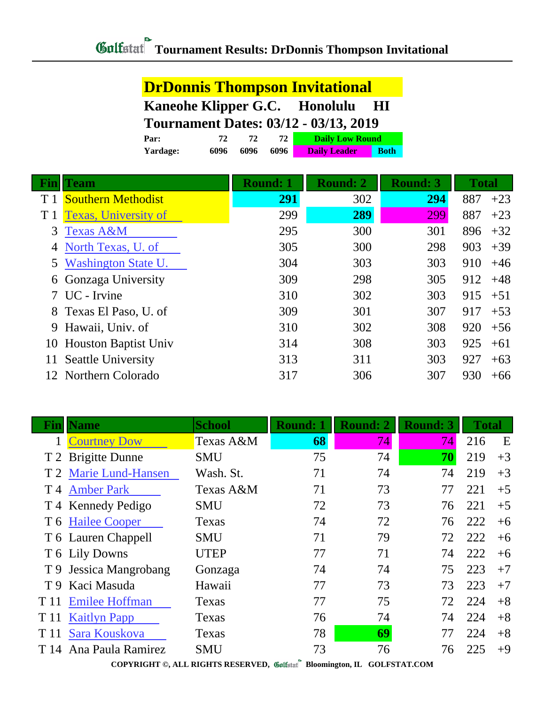|                | <b>DrDonnis Thompson Invitational</b>         |      |      |                 |                        |             |                 |              |       |
|----------------|-----------------------------------------------|------|------|-----------------|------------------------|-------------|-----------------|--------------|-------|
|                | Kaneohe Klipper G.C. Honolulu<br>$\mathbf{H}$ |      |      |                 |                        |             |                 |              |       |
|                | <b>Tournament Dates: 03/12 - 03/13, 2019</b>  |      |      |                 |                        |             |                 |              |       |
|                | Par:                                          | 72   | 72   | 72              | <b>Daily Low Round</b> |             |                 |              |       |
|                | Yardage:                                      | 6096 | 6096 | 6096            | <b>Daily Leader</b>    | <b>Both</b> |                 |              |       |
| <u>Fin</u>     | <b>Team</b>                                   |      |      | <b>Round: 1</b> | <b>Round: 2</b>        |             | <b>Round: 3</b> | <b>Total</b> |       |
| T 1            | <b>Southern Methodist</b>                     |      |      | 291             | 302                    |             | 294             | 887          | $+23$ |
| T <sub>1</sub> | <b>Texas, University of</b>                   |      |      | 299             | 289                    |             | 299             | 887          | $+23$ |
| 3              | <b>Texas A&amp;M</b>                          |      |      | 295             | 300                    |             | 301             | 896          | $+32$ |
| 4              | North Texas, U. of                            |      |      | 305             | 300                    |             | 298             | 903          | $+39$ |
| 5              | <b>Washington State U.</b>                    |      |      | 304             | 303                    |             | 303             | 910          | $+46$ |
| 6              | Gonzaga University                            |      |      | 309             | 298                    |             | 305             | 912          | $+48$ |
|                | UC - Irvine                                   |      |      | 310             | 302                    |             | 303             | 915          | $+51$ |
| 8              | Texas El Paso, U. of                          |      |      | 309             | 301                    |             | 307             | 917          | $+53$ |
| 9              | Hawaii, Univ. of                              |      |      | 310             | 302                    |             | 308             | 920          | $+56$ |
| 10             | <b>Houston Baptist Univ</b>                   |      |      | 314             | 308                    |             | 303             | 925          | $+61$ |
|                | <b>Seattle University</b>                     |      |      | 313             | 311                    |             | 303             | 927          | $+63$ |
| 12             | Northern Colorado                             |      |      | 317             | 306                    |             | 307             | 930          | $+66$ |

| Fın  | <b>Name</b>            | <b>School</b> | <b>Round: 1</b> | <b>Round: 2</b> | <b>Round: 3</b> | <b>Total</b> |      |
|------|------------------------|---------------|-----------------|-----------------|-----------------|--------------|------|
|      | <b>Courtney Dow</b>    | Texas A&M     | 68              | 74              | 74              | 216          | E    |
|      | T 2 Brigitte Dunne     | <b>SMU</b>    | 75              | 74              | 70              | 219          | $+3$ |
|      | T 2 Marie Lund-Hansen  | Wash. St.     | 71              | 74              | 74              | 219          | $+3$ |
|      | T 4 Amber Park         | Texas A&M     | 71              | 73              | 77              | 221          | $+5$ |
|      | T 4 Kennedy Pedigo     | <b>SMU</b>    | 72              | 73              | 76              | 221          | $+5$ |
|      | T 6 Hailee Cooper      | Texas         | 74              | 72              | 76              | 222          | $+6$ |
|      | T 6 Lauren Chappell    | <b>SMU</b>    | 71              | 79              | 72              | 222          | $+6$ |
|      | T 6 Lily Downs         | <b>UTEP</b>   | 77              | 71              | 74              | 222          | $+6$ |
|      | T 9 Jessica Mangrobang | Gonzaga       | 74              | 74              | 75              | 223          | $+7$ |
|      | T 9 Kaci Masuda        | Hawaii        | 77              | 73              | 73              | 223          | $+7$ |
| T 11 | <b>Emilee Hoffman</b>  | Texas         | 77              | 75              | 72              | 224          | $+8$ |
| T 11 | <b>Kaitlyn Papp</b>    | Texas         | 76              | 74              | 74              | 224          | $+8$ |
| T 11 | Sara Kouskova          | Texas         | 78              | 69              | 77              | 224          | $+8$ |
| T 14 | Ana Paula Ramirez      | <b>SMU</b>    | 73              | 76              | 76              | 225          | $+9$ |

**COPYRIGHT ©, ALL RIGHTS RESERVED, Bloomington, IL GOLFSTAT.COM**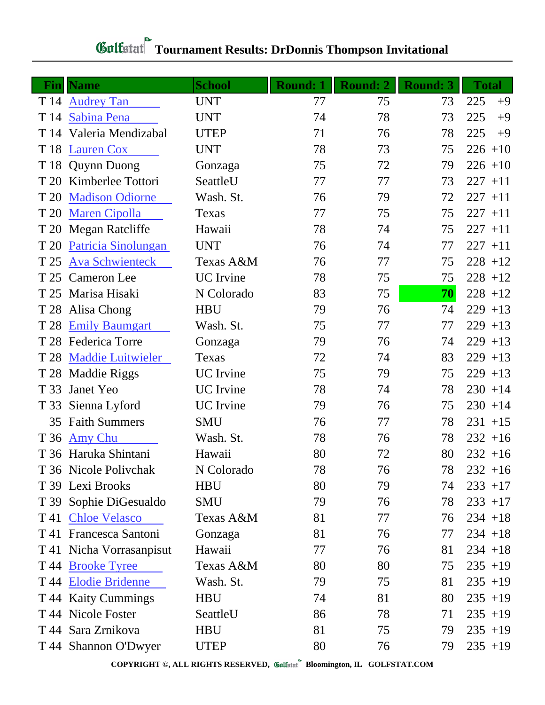## *Gulfatat* Tournament Results: DrDonnis Thompson Invitational

| $\bf{Fin}$ | <b>Name</b>              | <b>School</b>    | <b>Round: 1</b> | <b>Round: 2</b> | <b>Round: 3</b> | <b>Total</b> |
|------------|--------------------------|------------------|-----------------|-----------------|-----------------|--------------|
| T 14       | <b>Audrey Tan</b>        | <b>UNT</b>       | 77              | 75              | 73              | 225<br>$+9$  |
| T 14       | Sabina Pena              | <b>UNT</b>       | 74              | 78              | 73              | 225<br>$+9$  |
|            | T 14 Valeria Mendizabal  | <b>UTEP</b>      | 71              | 76              | 78              | 225<br>$+9$  |
| T 18       | <b>Lauren Cox</b>        | <b>UNT</b>       | 78              | 73              | 75              | $226 + 10$   |
|            | T 18 Quynn Duong         | Gonzaga          | 75              | 72              | 79              | $226 + 10$   |
| T 20       | Kimberlee Tottori        | SeattleU         | 77              | 77              | 73              | $227 + 11$   |
| T 20       | <b>Madison Odiorne</b>   | Wash. St.        | 76              | 79              | 72              | $227 + 11$   |
| T 20       | <b>Maren Cipolla</b>     | Texas            | 77              | 75              | 75              | $227 + 11$   |
|            | T 20 Megan Ratcliffe     | Hawaii           | 78              | 74              | 75              | $227 + 11$   |
| T 20       | Patricia Sinolungan      | <b>UNT</b>       | 76              | 74              | 77              | $227 + 11$   |
| T 25       | <b>Ava Schwienteck</b>   | Texas A&M        | 76              | 77              | 75              | $228 + 12$   |
|            | T 25 Cameron Lee         | <b>UC</b> Irvine | 78              | 75              | 75              | $228 + 12$   |
|            | T 25 Marisa Hisaki       | N Colorado       | 83              | 75              | 70              | $228 + 12$   |
| T 28       | Alisa Chong              | <b>HBU</b>       | 79              | 76              | 74              | $229 + 13$   |
| T 28       | <b>Emily Baumgart</b>    | Wash. St.        | 75              | 77              | 77              | $229 + 13$   |
|            | T 28 Federica Torre      | Gonzaga          | 79              | 76              | 74              | $229 + 13$   |
| T 28       | <b>Maddie Luitwieler</b> | Texas            | 72              | 74              | 83              | $229 + 13$   |
| T 28       | <b>Maddie Riggs</b>      | <b>UC</b> Irvine | 75              | 79              | 75              | $229 + 13$   |
| T 33       | Janet Yeo                | <b>UC</b> Irvine | 78              | 74              | 78              | $230 + 14$   |
| T 33       | Sienna Lyford            | <b>UC</b> Irvine | 79              | 76              | 75              | $230 + 14$   |
| 35         | <b>Faith Summers</b>     | <b>SMU</b>       | 76              | 77              | 78              | $231 + 15$   |
| T 36       | <b>Amy Chu</b>           | Wash. St.        | 78              | 76              | 78              | $232 + 16$   |
|            | T 36 Haruka Shintani     | Hawaii           | 80              | 72              | 80              | $232 + 16$   |
|            | T 36 Nicole Polivchak    | N Colorado       | 78              | 76              | 78              | $232 + 16$   |
|            | T 39 Lexi Brooks         | <b>HBU</b>       | 80              | 79              | 74              | $233 + 17$   |
|            | T 39 Sophie DiGesualdo   | <b>SMU</b>       | 79              | 76              | 78              | $233 + 17$   |
|            | T 41 Chloe Velasco       | Texas A&M        | 81              | 77              | 76              | $234 + 18$   |
|            | T 41 Francesca Santoni   | Gonzaga          | 81              | 76              | 77              | $234 + 18$   |
|            | T 41 Nicha Vorrasanpisut | Hawaii           | 77              | 76              | 81              | $234 + 18$   |
|            | T 44 <u>Brooke Tyree</u> | Texas A&M        | 80              | 80              | 75              | $235 + 19$   |
|            | T 44 Elodie Bridenne     | Wash. St.        | 79              | 75              | 81              | $235 + 19$   |
|            | T 44 Kaity Cummings      | <b>HBU</b>       | 74              | 81              | 80              | $235 + 19$   |
|            | T 44 Nicole Foster       | SeattleU         | 86              | 78              | 71              | $235 + 19$   |
|            | T 44 Sara Zrnikova       | <b>HBU</b>       | 81              | 75              | 79              | $235 + 19$   |
|            | T 44 Shannon O'Dwyer     | <b>UTEP</b>      | 80              | 76              | 79              | $235 + 19$   |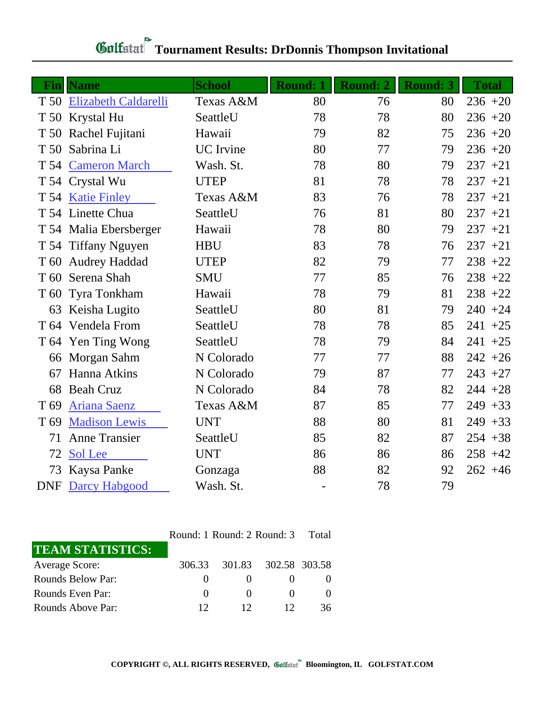| Fin             | <b>Name</b>                 | <b>School</b>    | <b>Round: 1</b>          | <b>Round: 2</b> | <b>Round: 3</b> | <b>Total</b> |
|-----------------|-----------------------------|------------------|--------------------------|-----------------|-----------------|--------------|
| T 50            | <b>Elizabeth Caldarelli</b> | Texas A&M        | 80                       | 76              | 80              | $236 + 20$   |
| T 50            | Krystal Hu                  | SeattleU         | 78                       | 78              | 80              | $236 + 20$   |
| T 50            | Rachel Fujitani             | Hawaii           | 79                       | 82              | 75              | $236 + 20$   |
| T 50            | Sabrina Li                  | <b>UC</b> Irvine | 80                       | 77              | 79              | $236 + 20$   |
| T 54            | <b>Cameron March</b>        | Wash. St.        | 78                       | 80              | 79              | $237 + 21$   |
|                 | T 54 Crystal Wu             | <b>UTEP</b>      | 81                       | 78              | 78              | $237 + 21$   |
|                 | T 54 Katie Finley           | Texas A&M        | 83                       | 76              | 78              | $237 + 21$   |
|                 | T 54 Linette Chua           | SeattleU         | 76                       | 81              | 80              | $237 + 21$   |
|                 | T 54 Malia Ebersberger      | Hawaii           | 78                       | 80              | 79              | $237 + 21$   |
|                 | T 54 Tiffany Nguyen         | <b>HBU</b>       | 83                       | 78              | 76              | $237 + 21$   |
| T 60            | <b>Audrey Haddad</b>        | <b>UTEP</b>      | 82                       | 79              | 77              | $238 + 22$   |
| T <sub>60</sub> | Serena Shah                 | <b>SMU</b>       | 77                       | 85              | 76              | $238 + 22$   |
| T <sub>60</sub> | Tyra Tonkham                | Hawaii           | 78                       | 79              | 81              | $238 + 22$   |
| 63              | Keisha Lugito               | SeattleU         | 80                       | 81              | 79              | $240 + 24$   |
|                 | T 64 Vendela From           | SeattleU         | 78                       | 78              | 85              | $241 + 25$   |
|                 | T 64 Yen Ting Wong          | SeattleU         | 78                       | 79              | 84              | $241 + 25$   |
| 66              | Morgan Sahm                 | N Colorado       | 77                       | 77              | 88              | $242 + 26$   |
| 67              | Hanna Atkins                | N Colorado       | 79                       | 87              | 77              | $243 + 27$   |
| 68              | <b>Beah Cruz</b>            | N Colorado       | 84                       | 78              | 82              | $244 + 28$   |
| T 69            | <b>Ariana Saenz</b>         | Texas A&M        | 87                       | 85              | 77              | $249 + 33$   |
| T 69            | <b>Madison Lewis</b>        | <b>UNT</b>       | 88                       | 80              | 81              | $249 + 33$   |
| 71              | <b>Anne Transier</b>        | SeattleU         | 85                       | 82              | 87              | $254 + 38$   |
| 72              | Sol Lee                     | <b>UNT</b>       | 86                       | 86              | 86              | $258 + 42$   |
| 73              | Kaysa Panke                 | Gonzaga          | 88                       | 82              | 92              | $262 + 46$   |
| <b>DNF</b>      | Darcy Habgood               | Wash. St.        | $\overline{\phantom{0}}$ | 78              | 79              |              |

## **Gulfatat** Tournament Results: DrDonnis Thompson Invitational

|                         | Round: 1 Round: 2 Round: 3 | Total                |              |    |
|-------------------------|----------------------------|----------------------|--------------|----|
| <b>TEAM STATISTICS:</b> |                            |                      |              |    |
| Average Score:          | 306.33                     | 301.83 302.58 303.58 |              |    |
| Rounds Below Par:       |                            |                      |              |    |
| Rounds Even Par:        | $\left( \right)$           |                      |              |    |
| Rounds Above Par:       | 12                         | 12                   | $12^{\circ}$ | 36 |